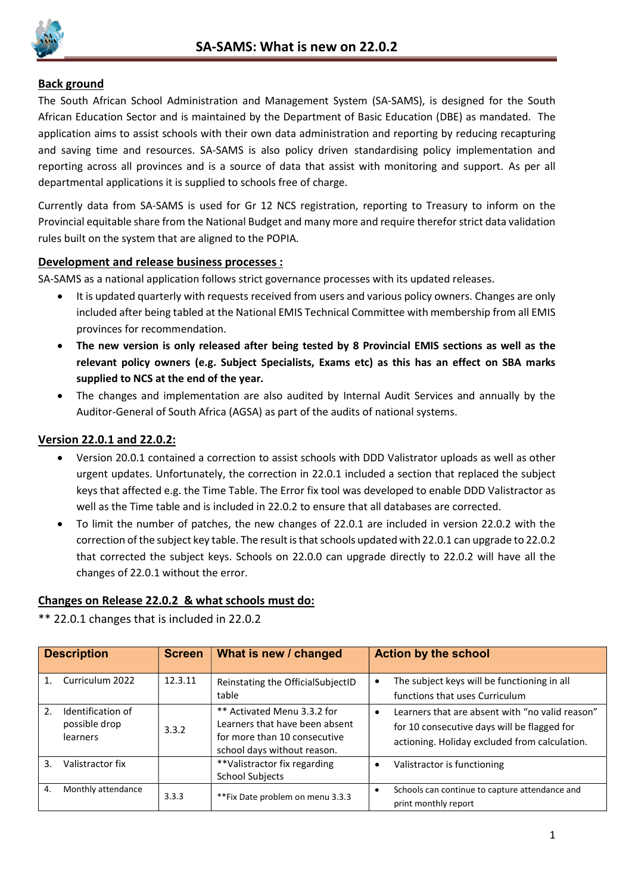

## Back ground

The South African School Administration and Management System (SA-SAMS), is designed for the South African Education Sector and is maintained by the Department of Basic Education (DBE) as mandated. The application aims to assist schools with their own data administration and reporting by reducing recapturing and saving time and resources. SA-SAMS is also policy driven standardising policy implementation and reporting across all provinces and is a source of data that assist with monitoring and support. As per all departmental applications it is supplied to schools free of charge.

Currently data from SA-SAMS is used for Gr 12 NCS registration, reporting to Treasury to inform on the Provincial equitable share from the National Budget and many more and require therefor strict data validation rules built on the system that are aligned to the POPIA.

## Development and release business processes :

SA-SAMS as a national application follows strict governance processes with its updated releases.

- It is updated quarterly with requests received from users and various policy owners. Changes are only included after being tabled at the National EMIS Technical Committee with membership from all EMIS provinces for recommendation.
- The new version is only released after being tested by 8 Provincial EMIS sections as well as the relevant policy owners (e.g. Subject Specialists, Exams etc) as this has an effect on SBA marks supplied to NCS at the end of the year.
- The changes and implementation are also audited by Internal Audit Services and annually by the Auditor-General of South Africa (AGSA) as part of the audits of national systems.

## Version 22.0.1 and 22.0.2:

- Version 20.0.1 contained a correction to assist schools with DDD Valistrator uploads as well as other urgent updates. Unfortunately, the correction in 22.0.1 included a section that replaced the subject keys that affected e.g. the Time Table. The Error fix tool was developed to enable DDD Valistractor as well as the Time table and is included in 22.0.2 to ensure that all databases are corrected.
- To limit the number of patches, the new changes of 22.0.1 are included in version 22.0.2 with the correction of the subject key table. The result is that schools updated with 22.0.1 can upgrade to 22.0.2 that corrected the subject keys. Schools on 22.0.0 can upgrade directly to 22.0.2 will have all the changes of 22.0.1 without the error.

## Changes on Release 22.0.2 & what schools must do:

\*\* 22.0.1 changes that is included in 22.0.2

| <b>Description</b> |                                                | <b>Screen</b> | What is new / changed                                                                                                        | <b>Action by the school</b>                                                                                                                     |
|--------------------|------------------------------------------------|---------------|------------------------------------------------------------------------------------------------------------------------------|-------------------------------------------------------------------------------------------------------------------------------------------------|
| 1                  | Curriculum 2022                                | 12.3.11       | Reinstating the OfficialSubjectID<br>table                                                                                   | The subject keys will be functioning in all<br>functions that uses Curriculum                                                                   |
| $\mathcal{L}$      | Identification of<br>possible drop<br>learners | 3.3.2         | ** Activated Menu 3.3.2 for<br>Learners that have been absent<br>for more than 10 consecutive<br>school days without reason. | Learners that are absent with "no valid reason"<br>for 10 consecutive days will be flagged for<br>actioning. Holiday excluded from calculation. |
| 3.                 | Valistractor fix                               |               | **Valistractor fix regarding<br><b>School Subjects</b>                                                                       | Valistractor is functioning                                                                                                                     |
| 4.                 | Monthly attendance                             | 3.3.3         | ** Fix Date problem on menu 3.3.3                                                                                            | Schools can continue to capture attendance and<br>print monthly report                                                                          |